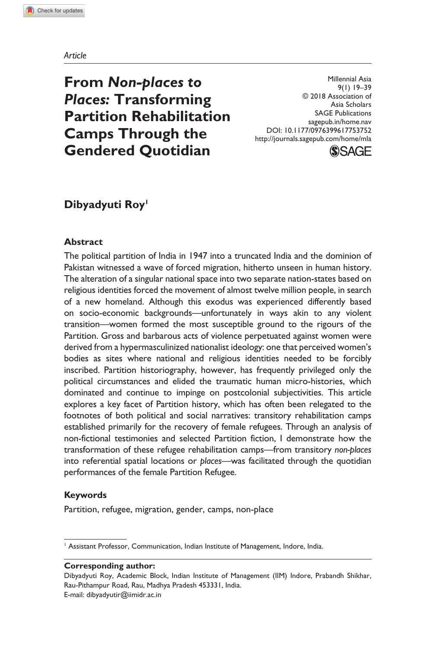#### *Article*

**From** *Non-places to Places:* **Transforming Partition Rehabilitation Camps Through the Gendered Quotidian**

Millennial Asia 9(1) 19–39 © 2018 Association of Asia Scholars SAGE Publications sagepub.in/home.nav DOI: 10.1177/0976399617753752 http://journals.sagepub.com/home/mla



# **Dibyadyuti Roy<sup>1</sup>**

### **Abstract**

The political partition of India in 1947 into a truncated India and the dominion of Pakistan witnessed a wave of forced migration, hitherto unseen in human history. The alteration of a singular national space into two separate nation-states based on religious identities forced the movement of almost twelve million people, in search of a new homeland. Although this exodus was experienced differently based on socio-economic backgrounds—unfortunately in ways akin to any violent transition—women formed the most susceptible ground to the rigours of the Partition. Gross and barbarous acts of violence perpetuated against women were derived from a hypermasculinized nationalist ideology: one that perceived women's bodies as sites where national and religious identities needed to be forcibly inscribed. Partition historiography, however, has frequently privileged only the political circumstances and elided the traumatic human micro-histories, which dominated and continue to impinge on postcolonial subjectivities. This article explores a key facet of Partition history, which has often been relegated to the footnotes of both political and social narratives: transitory rehabilitation camps established primarily for the recovery of female refugees. Through an analysis of non-fictional testimonies and selected Partition fiction, I demonstrate how the transformation of these refugee rehabilitation camps—from transitory *non-places* into referential spatial locations or *places*—was facilitated through the quotidian performances of the female Partition Refugee.

## **Keywords**

Partition, refugee, migration, gender, camps, non-place

#### **Corresponding author:**

Dibyadyuti Roy, Academic Block, Indian Institute of Management (IIM) Indore, Prabandh Shikhar, Rau-Pithampur Road, Rau, Madhya Pradesh 453331, India. E-mail: dibyadyutir@iimidr.ac.in

<sup>&</sup>lt;sup>1</sup> Assistant Professor, Communication, Indian Institute of Management, Indore, India.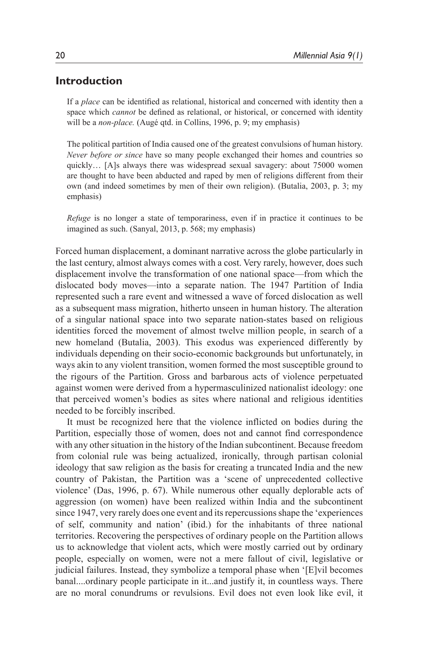## **Introduction**

If a *place* can be identified as relational, historical and concerned with identity then a space which *cannot* be defined as relational, or historical, or concerned with identity will be a *non-place.* (Augé qtd. in Collins, 1996, p. 9; my emphasis)

The political partition of India caused one of the greatest convulsions of human history. *Never before or since* have so many people exchanged their homes and countries so quickly… [A]s always there was widespread sexual savagery: about 75000 women are thought to have been abducted and raped by men of religions different from their own (and indeed sometimes by men of their own religion). (Butalia, 2003, p. 3; my emphasis)

*Refuge* is no longer a state of temporariness, even if in practice it continues to be imagined as such. (Sanyal, 2013, p. 568; my emphasis)

Forced human displacement, a dominant narrative across the globe particularly in the last century, almost always comes with a cost. Very rarely, however, does such displacement involve the transformation of one national space—from which the dislocated body moves—into a separate nation. The 1947 Partition of India represented such a rare event and witnessed a wave of forced dislocation as well as a subsequent mass migration, hitherto unseen in human history. The alteration of a singular national space into two separate nation-states based on religious identities forced the movement of almost twelve million people, in search of a new homeland (Butalia, 2003). This exodus was experienced differently by individuals depending on their socio-economic backgrounds but unfortunately, in ways akin to any violent transition, women formed the most susceptible ground to the rigours of the Partition. Gross and barbarous acts of violence perpetuated against women were derived from a hypermasculinized nationalist ideology: one that perceived women's bodies as sites where national and religious identities needed to be forcibly inscribed.

It must be recognized here that the violence inflicted on bodies during the Partition, especially those of women, does not and cannot find correspondence with any other situation in the history of the Indian subcontinent. Because freedom from colonial rule was being actualized, ironically, through partisan colonial ideology that saw religion as the basis for creating a truncated India and the new country of Pakistan, the Partition was a 'scene of unprecedented collective violence' (Das, 1996, p. 67). While numerous other equally deplorable acts of aggression (on women) have been realized within India and the subcontinent since 1947, very rarely does one event and its repercussions shape the 'experiences of self, community and nation' (ibid.) for the inhabitants of three national territories. Recovering the perspectives of ordinary people on the Partition allows us to acknowledge that violent acts, which were mostly carried out by ordinary people, especially on women, were not a mere fallout of civil, legislative or judicial failures. Instead, they symbolize a temporal phase when '[E]vil becomes banal....ordinary people participate in it...and justify it, in countless ways. There are no moral conundrums or revulsions. Evil does not even look like evil, it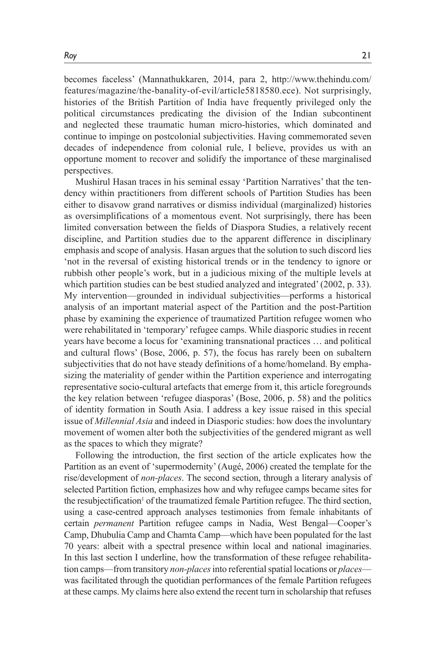becomes faceless' (Mannathukkaren, 2014, para 2, http://www.thehindu.com/ features/magazine/the-banality-of-evil/article5818580.ece). Not surprisingly, histories of the British Partition of India have frequently privileged only the political circumstances predicating the division of the Indian subcontinent and neglected these traumatic human micro-histories, which dominated and continue to impinge on postcolonial subjectivities. Having commemorated seven decades of independence from colonial rule, I believe, provides us with an opportune moment to recover and solidify the importance of these marginalised perspectives.

Mushirul Hasan traces in his seminal essay 'Partition Narratives' that the tendency within practitioners from different schools of Partition Studies has been either to disavow grand narratives or dismiss individual (marginalized) histories as oversimplifications of a momentous event. Not surprisingly, there has been limited conversation between the fields of Diaspora Studies, a relatively recent discipline, and Partition studies due to the apparent difference in disciplinary emphasis and scope of analysis. Hasan argues that the solution to such discord lies 'not in the reversal of existing historical trends or in the tendency to ignore or rubbish other people's work, but in a judicious mixing of the multiple levels at which partition studies can be best studied analyzed and integrated' (2002, p. 33). My intervention—grounded in individual subjectivities—performs a historical analysis of an important material aspect of the Partition and the post-Partition phase by examining the experience of traumatized Partition refugee women who were rehabilitated in 'temporary' refugee camps. While diasporic studies in recent years have become a locus for 'examining transnational practices … and political and cultural flows' (Bose, 2006, p. 57), the focus has rarely been on subaltern subjectivities that do not have steady definitions of a home/homeland. By emphasizing the materiality of gender within the Partition experience and interrogating representative socio-cultural artefacts that emerge from it, this article foregrounds the key relation between 'refugee diasporas' (Bose, 2006, p. 58) and the politics of identity formation in South Asia. I address a key issue raised in this special issue of *Millennial Asia* and indeed in Diasporic studies: how does the involuntary movement of women alter both the subjectivities of the gendered migrant as well as the spaces to which they migrate?

Following the introduction, the first section of the article explicates how the Partition as an event of 'supermodernity' (Augé, 2006) created the template for the rise/development of *non-places*. The second section, through a literary analysis of selected Partition fiction, emphasizes how and why refugee camps became sites for the resubjectification<sup>1</sup> of the traumatized female Partition refugee. The third section, using a case-centred approach analyses testimonies from female inhabitants of certain *permanent* Partition refugee camps in Nadia, West Bengal—Cooper's Camp, Dhubulia Camp and Chamta Camp—which have been populated for the last 70 years: albeit with a spectral presence within local and national imaginaries. In this last section I underline, how the transformation of these refugee rehabilitation camps—from transitory *non-places* into referential spatial locations or *places* was facilitated through the quotidian performances of the female Partition refugees at these camps. My claims here also extend the recent turn in scholarship that refuses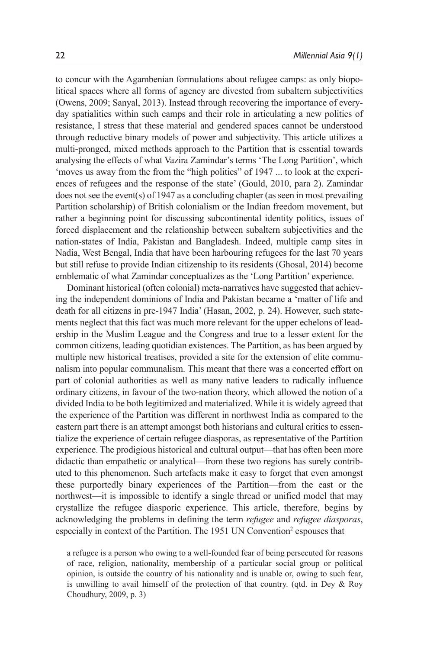to concur with the Agambenian formulations about refugee camps: as only biopolitical spaces where all forms of agency are divested from subaltern subjectivities (Owens, 2009; Sanyal, 2013). Instead through recovering the importance of everyday spatialities within such camps and their role in articulating a new politics of resistance, I stress that these material and gendered spaces cannot be understood through reductive binary models of power and subjectivity. This article utilizes a multi-pronged, mixed methods approach to the Partition that is essential towards analysing the effects of what Vazira Zamindar's terms 'The Long Partition', which 'moves us away from the from the "high politics" of 1947 ... to look at the experiences of refugees and the response of the state' (Gould, 2010, para 2). Zamindar does not see the event(s) of 1947 as a concluding chapter (as seen in most prevailing Partition scholarship) of British colonialism or the Indian freedom movement, but rather a beginning point for discussing subcontinental identity politics, issues of forced displacement and the relationship between subaltern subjectivities and the nation-states of India, Pakistan and Bangladesh. Indeed, multiple camp sites in Nadia, West Bengal, India that have been harbouring refugees for the last 70 years but still refuse to provide Indian citizenship to its residents (Ghosal, 2014) become emblematic of what Zamindar conceptualizes as the 'Long Partition' experience.

Dominant historical (often colonial) meta-narratives have suggested that achieving the independent dominions of India and Pakistan became a 'matter of life and death for all citizens in pre-1947 India' (Hasan, 2002, p. 24). However, such statements neglect that this fact was much more relevant for the upper echelons of leadership in the Muslim League and the Congress and true to a lesser extent for the common citizens, leading quotidian existences. The Partition, as has been argued by multiple new historical treatises, provided a site for the extension of elite communalism into popular communalism. This meant that there was a concerted effort on part of colonial authorities as well as many native leaders to radically influence ordinary citizens, in favour of the two-nation theory, which allowed the notion of a divided India to be both legitimized and materialized. While it is widely agreed that the experience of the Partition was different in northwest India as compared to the eastern part there is an attempt amongst both historians and cultural critics to essentialize the experience of certain refugee diasporas, as representative of the Partition experience. The prodigious historical and cultural output—that has often been more didactic than empathetic or analytical—from these two regions has surely contributed to this phenomenon. Such artefacts make it easy to forget that even amongst these purportedly binary experiences of the Partition—from the east or the northwest—it is impossible to identify a single thread or unified model that may crystallize the refugee diasporic experience. This article, therefore, begins by acknowledging the problems in defining the term *refugee* and *refugee diasporas*, especially in context of the Partition. The 1951 UN Convention<sup>2</sup> espouses that

a refugee is a person who owing to a well-founded fear of being persecuted for reasons of race, religion, nationality, membership of a particular social group or political opinion, is outside the country of his nationality and is unable or, owing to such fear, is unwilling to avail himself of the protection of that country. (qtd. in Dey & Roy Choudhury, 2009, p. 3)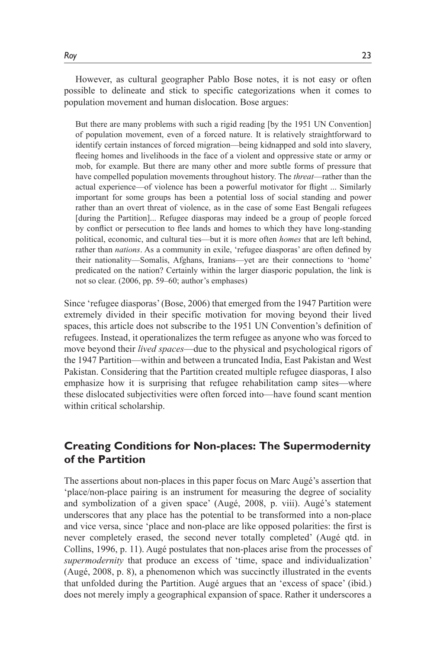However, as cultural geographer Pablo Bose notes, it is not easy or often possible to delineate and stick to specific categorizations when it comes to population movement and human dislocation. Bose argues:

But there are many problems with such a rigid reading [by the 1951 UN Convention] of population movement, even of a forced nature. It is relatively straightforward to identify certain instances of forced migration—being kidnapped and sold into slavery, fleeing homes and livelihoods in the face of a violent and oppressive state or army or mob, for example. But there are many other and more subtle forms of pressure that have compelled population movements throughout history. The *threat*—rather than the actual experience—of violence has been a powerful motivator for flight ... Similarly important for some groups has been a potential loss of social standing and power rather than an overt threat of violence, as in the case of some East Bengali refugees [during the Partition]... Refugee diasporas may indeed be a group of people forced by conflict or persecution to flee lands and homes to which they have long-standing political, economic, and cultural ties—but it is more often *homes* that are left behind, rather than *nations*. As a community in exile, 'refugee diasporas' are often defined by their nationality—Somalis, Afghans, Iranians—yet are their connections to 'home' predicated on the nation? Certainly within the larger diasporic population, the link is not so clear. (2006, pp. 59–60; author's emphases)

Since 'refugee diasporas' (Bose, 2006) that emerged from the 1947 Partition were extremely divided in their specific motivation for moving beyond their lived spaces, this article does not subscribe to the 1951 UN Convention's definition of refugees. Instead, it operationalizes the term refugee as anyone who was forced to move beyond their *lived spaces*—due to the physical and psychological rigors of the 1947 Partition—within and between a truncated India, East Pakistan and West Pakistan. Considering that the Partition created multiple refugee diasporas, I also emphasize how it is surprising that refugee rehabilitation camp sites—where these dislocated subjectivities were often forced into—have found scant mention within critical scholarship.

# **Creating Conditions for Non-places: The Supermodernity of the Partition**

The assertions about non-places in this paper focus on Marc Augé's assertion that 'place/non-place pairing is an instrument for measuring the degree of sociality and symbolization of a given space' (Augé, 2008, p. viii). Augé's statement underscores that any place has the potential to be transformed into a non-place and vice versa, since 'place and non-place are like opposed polarities: the first is never completely erased, the second never totally completed' (Augé qtd. in Collins, 1996, p. 11). Augé postulates that non-places arise from the processes of *supermodernity* that produce an excess of 'time, space and individualization' (Augé, 2008, p. 8), a phenomenon which was succinctly illustrated in the events that unfolded during the Partition. Augé argues that an 'excess of space' (ibid.) does not merely imply a geographical expansion of space. Rather it underscores a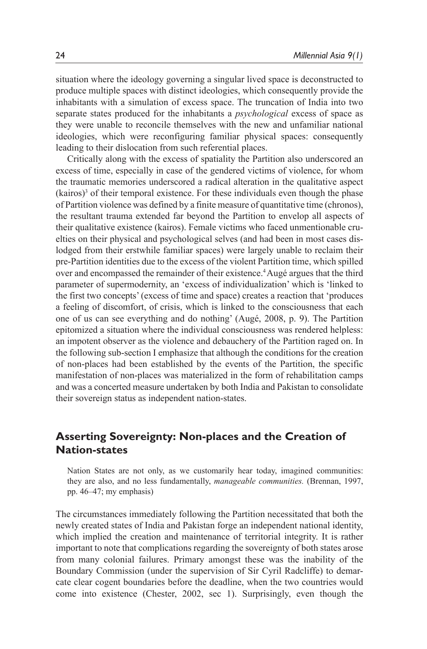situation where the ideology governing a singular lived space is deconstructed to produce multiple spaces with distinct ideologies, which consequently provide the inhabitants with a simulation of excess space. The truncation of India into two separate states produced for the inhabitants a *psychological* excess of space as they were unable to reconcile themselves with the new and unfamiliar national ideologies, which were reconfiguring familiar physical spaces: consequently leading to their dislocation from such referential places.

Critically along with the excess of spatiality the Partition also underscored an excess of time, especially in case of the gendered victims of violence, for whom the traumatic memories underscored a radical alteration in the qualitative aspect  $(kairos)<sup>3</sup>$  of their temporal existence. For these individuals even though the phase of Partition violence was defined by a finite measure of quantitative time (chronos), the resultant trauma extended far beyond the Partition to envelop all aspects of their qualitative existence (kairos). Female victims who faced unmentionable cruelties on their physical and psychological selves (and had been in most cases dislodged from their erstwhile familiar spaces) were largely unable to reclaim their pre-Partition identities due to the excess of the violent Partition time, which spilled over and encompassed the remainder of their existence.<sup>4</sup>Augé argues that the third parameter of supermodernity, an 'excess of individualization' which is 'linked to the first two concepts' (excess of time and space) creates a reaction that 'produces a feeling of discomfort, of crisis, which is linked to the consciousness that each one of us can see everything and do nothing' (Augé, 2008, p. 9). The Partition epitomized a situation where the individual consciousness was rendered helpless: an impotent observer as the violence and debauchery of the Partition raged on. In the following sub-section I emphasize that although the conditions for the creation of non-places had been established by the events of the Partition, the specific manifestation of non-places was materialized in the form of rehabilitation camps and was a concerted measure undertaken by both India and Pakistan to consolidate their sovereign status as independent nation-states.

## **Asserting Sovereignty: Non-places and the Creation of Nation-states**

Nation States are not only, as we customarily hear today, imagined communities: they are also, and no less fundamentally, *manageable communities.* (Brennan, 1997, pp. 46–47; my emphasis)

The circumstances immediately following the Partition necessitated that both the newly created states of India and Pakistan forge an independent national identity, which implied the creation and maintenance of territorial integrity. It is rather important to note that complications regarding the sovereignty of both states arose from many colonial failures. Primary amongst these was the inability of the Boundary Commission (under the supervision of Sir Cyril Radcliffe) to demarcate clear cogent boundaries before the deadline, when the two countries would come into existence (Chester, 2002, sec 1). Surprisingly, even though the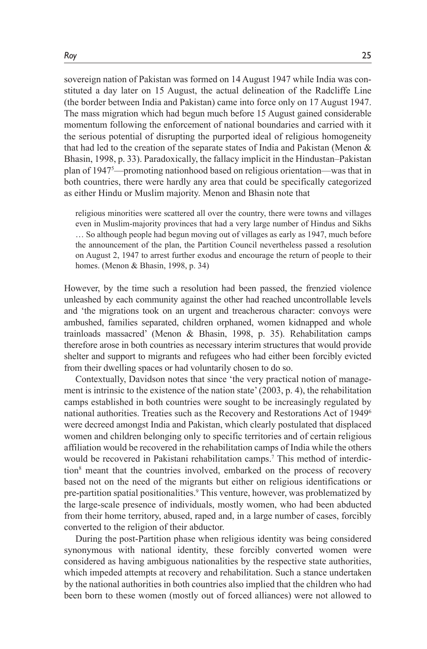sovereign nation of Pakistan was formed on 14 August 1947 while India was constituted a day later on 15 August, the actual delineation of the Radcliffe Line (the border between India and Pakistan) came into force only on 17 August 1947. The mass migration which had begun much before 15 August gained considerable momentum following the enforcement of national boundaries and carried with it the serious potential of disrupting the purported ideal of religious homogeneity that had led to the creation of the separate states of India and Pakistan (Menon & Bhasin, 1998, p. 33). Paradoxically, the fallacy implicit in the Hindustan–Pakistan plan of 1947<sup>5</sup>—promoting nationhood based on religious orientation—was that in both countries, there were hardly any area that could be specifically categorized as either Hindu or Muslim majority. Menon and Bhasin note that

religious minorities were scattered all over the country, there were towns and villages even in Muslim-majority provinces that had a very large number of Hindus and Sikhs … So although people had begun moving out of villages as early as 1947, much before the announcement of the plan, the Partition Council nevertheless passed a resolution on August 2, 1947 to arrest further exodus and encourage the return of people to their homes. (Menon & Bhasin, 1998, p. 34)

However, by the time such a resolution had been passed, the frenzied violence unleashed by each community against the other had reached uncontrollable levels and 'the migrations took on an urgent and treacherous character: convoys were ambushed, families separated, children orphaned, women kidnapped and whole trainloads massacred' (Menon & Bhasin, 1998, p. 35). Rehabilitation camps therefore arose in both countries as necessary interim structures that would provide shelter and support to migrants and refugees who had either been forcibly evicted from their dwelling spaces or had voluntarily chosen to do so.

Contextually, Davidson notes that since 'the very practical notion of management is intrinsic to the existence of the nation state'  $(2003, p. 4)$ , the rehabilitation camps established in both countries were sought to be increasingly regulated by national authorities. Treaties such as the Recovery and Restorations Act of 1949<sup>6</sup> were decreed amongst India and Pakistan, which clearly postulated that displaced women and children belonging only to specific territories and of certain religious affiliation would be recovered in the rehabilitation camps of India while the others would be recovered in Pakistani rehabilitation camps.<sup>7</sup> This method of interdiction<sup>8</sup> meant that the countries involved, embarked on the process of recovery based not on the need of the migrants but either on religious identifications or pre-partition spatial positionalities.<sup>9</sup> This venture, however, was problematized by the large-scale presence of individuals, mostly women, who had been abducted from their home territory, abused, raped and, in a large number of cases, forcibly converted to the religion of their abductor.

During the post-Partition phase when religious identity was being considered synonymous with national identity, these forcibly converted women were considered as having ambiguous nationalities by the respective state authorities, which impeded attempts at recovery and rehabilitation. Such a stance undertaken by the national authorities in both countries also implied that the children who had been born to these women (mostly out of forced alliances) were not allowed to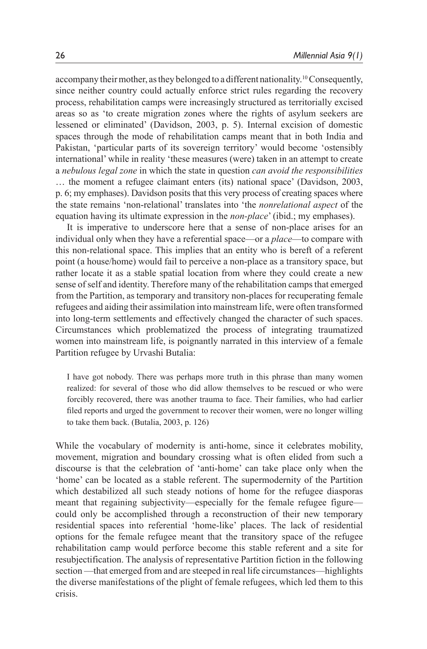accompany their mother, as they belonged to a different nationality.<sup>10</sup> Consequently, since neither country could actually enforce strict rules regarding the recovery process, rehabilitation camps were increasingly structured as territorially excised areas so as 'to create migration zones where the rights of asylum seekers are lessened or eliminated' (Davidson, 2003, p. 5). Internal excision of domestic spaces through the mode of rehabilitation camps meant that in both India and Pakistan, 'particular parts of its sovereign territory' would become 'ostensibly international' while in reality 'these measures (were) taken in an attempt to create a *nebulous legal zone* in which the state in question *can avoid the responsibilities*  … the moment a refugee claimant enters (its) national space' (Davidson, 2003, p. 6; my emphases). Davidson posits that this very process of creating spaces where the state remains 'non-relational' translates into 'the *nonrelational aspect* of the equation having its ultimate expression in the *non-place*' (ibid.; my emphases).

It is imperative to underscore here that a sense of non-place arises for an individual only when they have a referential space—or a *place*—to compare with this non-relational space. This implies that an entity who is bereft of a referent point (a house/home) would fail to perceive a non-place as a transitory space, but rather locate it as a stable spatial location from where they could create a new sense of self and identity. Therefore many of the rehabilitation camps that emerged from the Partition, as temporary and transitory non-places for recuperating female refugees and aiding their assimilation into mainstream life, were often transformed into long-term settlements and effectively changed the character of such spaces. Circumstances which problematized the process of integrating traumatized women into mainstream life, is poignantly narrated in this interview of a female Partition refugee by Urvashi Butalia:

I have got nobody. There was perhaps more truth in this phrase than many women realized: for several of those who did allow themselves to be rescued or who were forcibly recovered, there was another trauma to face. Their families, who had earlier filed reports and urged the government to recover their women, were no longer willing to take them back. (Butalia, 2003, p. 126)

While the vocabulary of modernity is anti-home, since it celebrates mobility, movement, migration and boundary crossing what is often elided from such a discourse is that the celebration of 'anti-home' can take place only when the 'home' can be located as a stable referent. The supermodernity of the Partition which destabilized all such steady notions of home for the refugee diasporas meant that regaining subjectivity—especially for the female refugee figure could only be accomplished through a reconstruction of their new temporary residential spaces into referential 'home-like' places. The lack of residential options for the female refugee meant that the transitory space of the refugee rehabilitation camp would perforce become this stable referent and a site for resubjectification. The analysis of representative Partition fiction in the following section —that emerged from and are steeped in real life circumstances—highlights the diverse manifestations of the plight of female refugees, which led them to this crisis.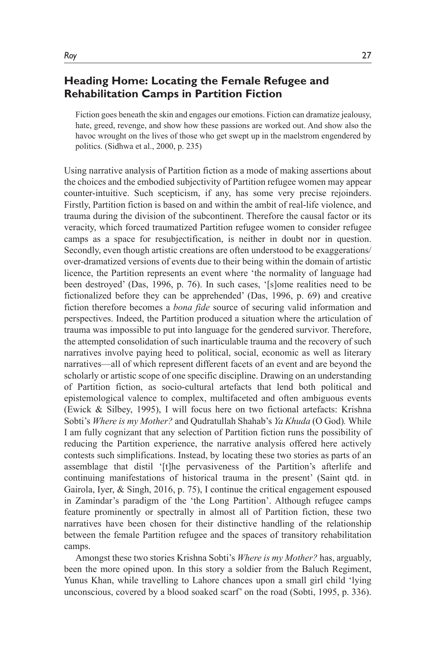# **Heading Home: Locating the Female Refugee and Rehabilitation Camps in Partition Fiction**

Fiction goes beneath the skin and engages our emotions. Fiction can dramatize jealousy, hate, greed, revenge, and show how these passions are worked out. And show also the havoc wrought on the lives of those who get swept up in the maelstrom engendered by politics. (Sidhwa et al., 2000, p. 235)

Using narrative analysis of Partition fiction as a mode of making assertions about the choices and the embodied subjectivity of Partition refugee women may appear counter-intuitive. Such scepticism, if any, has some very precise rejoinders. Firstly, Partition fiction is based on and within the ambit of real-life violence, and trauma during the division of the subcontinent. Therefore the causal factor or its veracity, which forced traumatized Partition refugee women to consider refugee camps as a space for resubjectification, is neither in doubt nor in question. Secondly, even though artistic creations are often understood to be exaggerations/ over-dramatized versions of events due to their being within the domain of artistic licence, the Partition represents an event where 'the normality of language had been destroyed' (Das, 1996, p. 76). In such cases, '[s]ome realities need to be fictionalized before they can be apprehended' (Das, 1996, p. 69) and creative fiction therefore becomes a *bona fide* source of securing valid information and perspectives. Indeed, the Partition produced a situation where the articulation of trauma was impossible to put into language for the gendered survivor. Therefore, the attempted consolidation of such inarticulable trauma and the recovery of such narratives involve paying heed to political, social, economic as well as literary narratives—all of which represent different facets of an event and are beyond the scholarly or artistic scope of one specific discipline. Drawing on an understanding of Partition fiction, as socio-cultural artefacts that lend both political and epistemological valence to complex, multifaceted and often ambiguous events (Ewick & Silbey, 1995), I will focus here on two fictional artefacts: Krishna Sobti's *Where is my Mother?* and Qudratullah Shahab's *Ya Khuda* (O God)*.* While I am fully cognizant that any selection of Partition fiction runs the possibility of reducing the Partition experience, the narrative analysis offered here actively contests such simplifications. Instead, by locating these two stories as parts of an assemblage that distil '[t]he pervasiveness of the Partition's afterlife and continuing manifestations of historical trauma in the present' (Saint qtd. in Gairola, Iyer, & Singh, 2016, p. 75), I continue the critical engagement espoused in Zamindar's paradigm of the 'the Long Partition'. Although refugee camps feature prominently or spectrally in almost all of Partition fiction, these two narratives have been chosen for their distinctive handling of the relationship between the female Partition refugee and the spaces of transitory rehabilitation camps.

Amongst these two stories Krishna Sobti's *Where is my Mother?* has, arguably, been the more opined upon. In this story a soldier from the Baluch Regiment, Yunus Khan, while travelling to Lahore chances upon a small girl child 'lying unconscious, covered by a blood soaked scarf' on the road (Sobti, 1995, p. 336).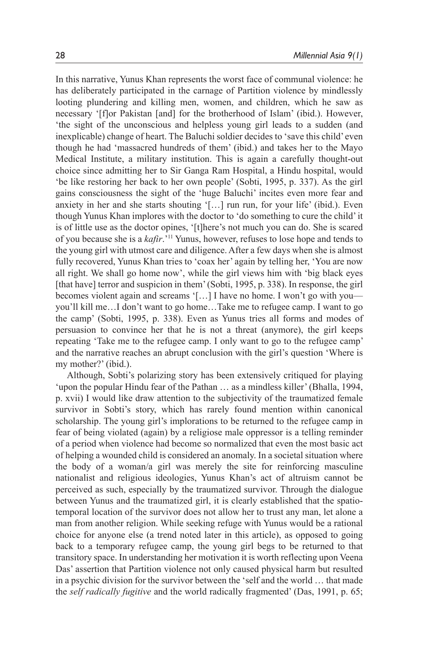In this narrative, Yunus Khan represents the worst face of communal violence: he has deliberately participated in the carnage of Partition violence by mindlessly looting plundering and killing men, women, and children, which he saw as necessary '[f]or Pakistan [and] for the brotherhood of Islam' (ibid.). However, 'the sight of the unconscious and helpless young girl leads to a sudden (and inexplicable) change of heart. The Baluchi soldier decides to 'save this child' even though he had 'massacred hundreds of them' (ibid.) and takes her to the Mayo Medical Institute, a military institution. This is again a carefully thought-out choice since admitting her to Sir Ganga Ram Hospital, a Hindu hospital, would 'be like restoring her back to her own people' (Sobti, 1995, p. 337). As the girl gains consciousness the sight of the 'huge Baluchi' incites even more fear and anxiety in her and she starts shouting '[…] run run, for your life' (ibid.). Even though Yunus Khan implores with the doctor to 'do something to cure the child' it is of little use as the doctor opines, '[t]here's not much you can do. She is scared of you because she is a *kafir*.'<sup>11</sup> Yunus, however, refuses to lose hope and tends to the young girl with utmost care and diligence. After a few days when she is almost fully recovered, Yunus Khan tries to 'coax her' again by telling her, 'You are now all right. We shall go home now', while the girl views him with 'big black eyes [that have] terror and suspicion in them' (Sobti, 1995, p. 338). In response, the girl becomes violent again and screams '[…] I have no home. I won't go with you you'll kill me…I don't want to go home…Take me to refugee camp. I want to go the camp' (Sobti, 1995, p. 338). Even as Yunus tries all forms and modes of persuasion to convince her that he is not a threat (anymore), the girl keeps repeating 'Take me to the refugee camp. I only want to go to the refugee camp' and the narrative reaches an abrupt conclusion with the girl's question 'Where is my mother?' (ibid.).

Although, Sobti's polarizing story has been extensively critiqued for playing 'upon the popular Hindu fear of the Pathan … as a mindless killer' (Bhalla, 1994, p. xvii) I would like draw attention to the subjectivity of the traumatized female survivor in Sobti's story, which has rarely found mention within canonical scholarship. The young girl's implorations to be returned to the refugee camp in fear of being violated (again) by a religiose male oppressor is a telling reminder of a period when violence had become so normalized that even the most basic act of helping a wounded child is considered an anomaly. In a societal situation where the body of a woman/a girl was merely the site for reinforcing masculine nationalist and religious ideologies, Yunus Khan's act of altruism cannot be perceived as such, especially by the traumatized survivor. Through the dialogue between Yunus and the traumatized girl, it is clearly established that the spatiotemporal location of the survivor does not allow her to trust any man, let alone a man from another religion. While seeking refuge with Yunus would be a rational choice for anyone else (a trend noted later in this article), as opposed to going back to a temporary refugee camp, the young girl begs to be returned to that transitory space. In understanding her motivation it is worth reflecting upon Veena Das' assertion that Partition violence not only caused physical harm but resulted in a psychic division for the survivor between the 'self and the world … that made the *self radically fugitive* and the world radically fragmented' (Das, 1991, p. 65;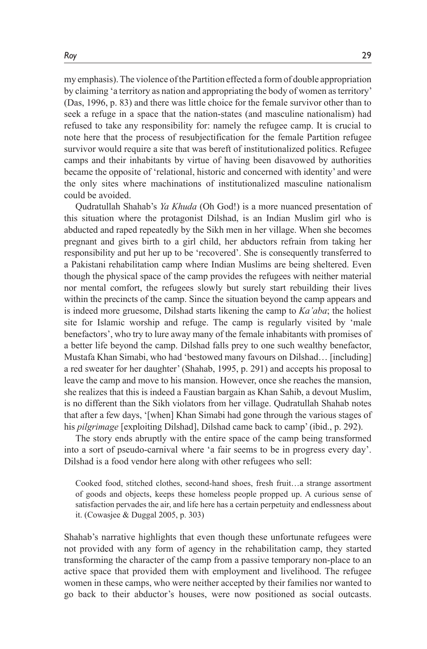my emphasis). The violence of the Partition effected a form of double appropriation by claiming 'a territory as nation and appropriating the body of women as territory' (Das, 1996, p. 83) and there was little choice for the female survivor other than to seek a refuge in a space that the nation-states (and masculine nationalism) had refused to take any responsibility for: namely the refugee camp. It is crucial to note here that the process of resubjectification for the female Partition refugee survivor would require a site that was bereft of institutionalized politics. Refugee camps and their inhabitants by virtue of having been disavowed by authorities became the opposite of 'relational, historic and concerned with identity' and were the only sites where machinations of institutionalized masculine nationalism could be avoided.

Qudratullah Shahab's *Ya Khuda* (Oh God!) is a more nuanced presentation of this situation where the protagonist Dilshad, is an Indian Muslim girl who is abducted and raped repeatedly by the Sikh men in her village. When she becomes pregnant and gives birth to a girl child, her abductors refrain from taking her responsibility and put her up to be 'recovered'. She is consequently transferred to a Pakistani rehabilitation camp where Indian Muslims are being sheltered. Even though the physical space of the camp provides the refugees with neither material nor mental comfort, the refugees slowly but surely start rebuilding their lives within the precincts of the camp. Since the situation beyond the camp appears and is indeed more gruesome, Dilshad starts likening the camp to *Ka'aba*; the holiest site for Islamic worship and refuge. The camp is regularly visited by 'male benefactors', who try to lure away many of the female inhabitants with promises of a better life beyond the camp. Dilshad falls prey to one such wealthy benefactor, Mustafa Khan Simabi, who had 'bestowed many favours on Dilshad… [including] a red sweater for her daughter' (Shahab, 1995, p. 291) and accepts his proposal to leave the camp and move to his mansion. However, once she reaches the mansion, she realizes that this is indeed a Faustian bargain as Khan Sahib, a devout Muslim, is no different than the Sikh violators from her village. Qudratullah Shahab notes that after a few days, '[when] Khan Simabi had gone through the various stages of his *pilgrimage* [exploiting Dilshad], Dilshad came back to camp' (ibid., p. 292).

The story ends abruptly with the entire space of the camp being transformed into a sort of pseudo-carnival where 'a fair seems to be in progress every day'. Dilshad is a food vendor here along with other refugees who sell:

Cooked food, stitched clothes, second-hand shoes, fresh fruit…a strange assortment of goods and objects, keeps these homeless people propped up. A curious sense of satisfaction pervades the air, and life here has a certain perpetuity and endlessness about it. (Cowasjee & Duggal 2005, p. 303)

Shahab's narrative highlights that even though these unfortunate refugees were not provided with any form of agency in the rehabilitation camp, they started transforming the character of the camp from a passive temporary non-place to an active space that provided them with employment and livelihood. The refugee women in these camps, who were neither accepted by their families nor wanted to go back to their abductor's houses, were now positioned as social outcasts.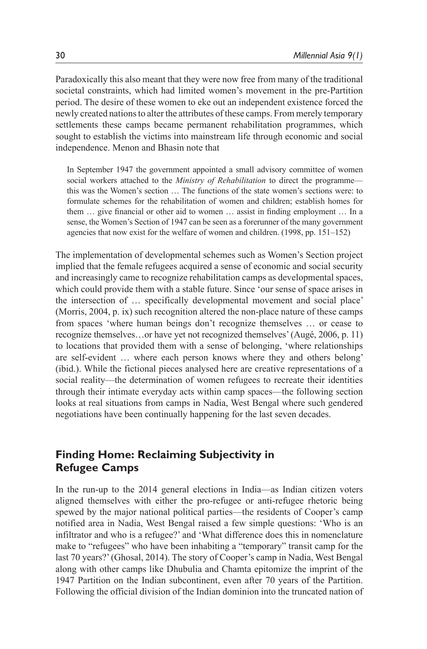Paradoxically this also meant that they were now free from many of the traditional societal constraints, which had limited women's movement in the pre-Partition period. The desire of these women to eke out an independent existence forced the newly created nations to alter the attributes of these camps. From merely temporary settlements these camps became permanent rehabilitation programmes, which sought to establish the victims into mainstream life through economic and social independence. Menon and Bhasin note that

In September 1947 the government appointed a small advisory committee of women social workers attached to the *Ministry of Rehabilitation* to direct the programmethis was the Women's section … The functions of the state women's sections were: to formulate schemes for the rehabilitation of women and children; establish homes for them … give financial or other aid to women … assist in finding employment … In a sense, the Women's Section of 1947 can be seen as a forerunner of the many government agencies that now exist for the welfare of women and children. (1998, pp. 151–152)

The implementation of developmental schemes such as Women's Section project implied that the female refugees acquired a sense of economic and social security and increasingly came to recognize rehabilitation camps as developmental spaces, which could provide them with a stable future. Since 'our sense of space arises in the intersection of … specifically developmental movement and social place' (Morris, 2004, p. ix) such recognition altered the non-place nature of these camps from spaces 'where human beings don't recognize themselves … or cease to recognize themselves…or have yet not recognized themselves' (Augé, 2006, p. 11) to locations that provided them with a sense of belonging, 'where relationships are self-evident … where each person knows where they and others belong' (ibid.). While the fictional pieces analysed here are creative representations of a social reality—the determination of women refugees to recreate their identities through their intimate everyday acts within camp spaces—the following section looks at real situations from camps in Nadia, West Bengal where such gendered negotiations have been continually happening for the last seven decades.

# **Finding Home: Reclaiming Subjectivity in Refugee Camps**

In the run-up to the 2014 general elections in India—as Indian citizen voters aligned themselves with either the pro-refugee or anti-refugee rhetoric being spewed by the major national political parties—the residents of Cooper's camp notified area in Nadia, West Bengal raised a few simple questions: 'Who is an infiltrator and who is a refugee?' and 'What difference does this in nomenclature make to "refugees" who have been inhabiting a "temporary" transit camp for the last 70 years?' (Ghosal, 2014). The story of Cooper's camp in Nadia, West Bengal along with other camps like Dhubulia and Chamta epitomize the imprint of the 1947 Partition on the Indian subcontinent, even after 70 years of the Partition. Following the official division of the Indian dominion into the truncated nation of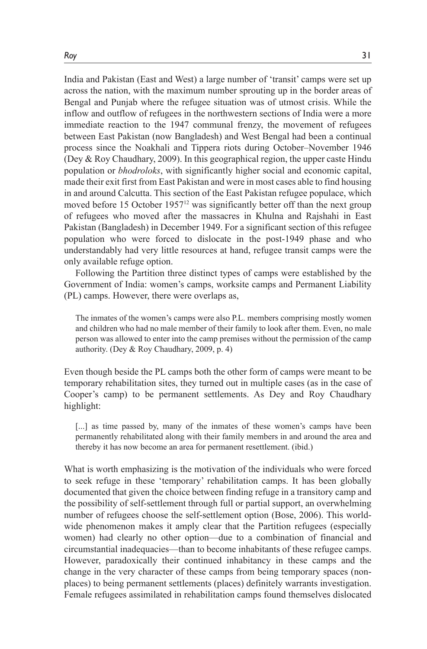India and Pakistan (East and West) a large number of 'transit' camps were set up across the nation, with the maximum number sprouting up in the border areas of Bengal and Punjab where the refugee situation was of utmost crisis. While the inflow and outflow of refugees in the northwestern sections of India were a more immediate reaction to the 1947 communal frenzy, the movement of refugees between East Pakistan (now Bangladesh) and West Bengal had been a continual process since the Noakhali and Tippera riots during October–November 1946 (Dey & Roy Chaudhary, 2009). In this geographical region, the upper caste Hindu population or *bhodroloks*, with significantly higher social and economic capital, made their exit first from East Pakistan and were in most cases able to find housing in and around Calcutta. This section of the East Pakistan refugee populace, which moved before 15 October 1957<sup>12</sup> was significantly better off than the next group of refugees who moved after the massacres in Khulna and Rajshahi in East Pakistan (Bangladesh) in December 1949. For a significant section of this refugee population who were forced to dislocate in the post-1949 phase and who understandably had very little resources at hand, refugee transit camps were the only available refuge option.

Following the Partition three distinct types of camps were established by the Government of India: women's camps, worksite camps and Permanent Liability (PL) camps. However, there were overlaps as,

The inmates of the women's camps were also P.L. members comprising mostly women and children who had no male member of their family to look after them. Even, no male person was allowed to enter into the camp premises without the permission of the camp authority. (Dey & Roy Chaudhary, 2009, p. 4)

Even though beside the PL camps both the other form of camps were meant to be temporary rehabilitation sites, they turned out in multiple cases (as in the case of Cooper's camp) to be permanent settlements. As Dey and Roy Chaudhary highlight:

[...] as time passed by, many of the inmates of these women's camps have been permanently rehabilitated along with their family members in and around the area and thereby it has now become an area for permanent resettlement. (ibid.)

What is worth emphasizing is the motivation of the individuals who were forced to seek refuge in these 'temporary' rehabilitation camps. It has been globally documented that given the choice between finding refuge in a transitory camp and the possibility of self-settlement through full or partial support, an overwhelming number of refugees choose the self-settlement option (Bose, 2006). This worldwide phenomenon makes it amply clear that the Partition refugees (especially women) had clearly no other option—due to a combination of financial and circumstantial inadequacies—than to become inhabitants of these refugee camps. However, paradoxically their continued inhabitancy in these camps and the change in the very character of these camps from being temporary spaces (nonplaces) to being permanent settlements (places) definitely warrants investigation. Female refugees assimilated in rehabilitation camps found themselves dislocated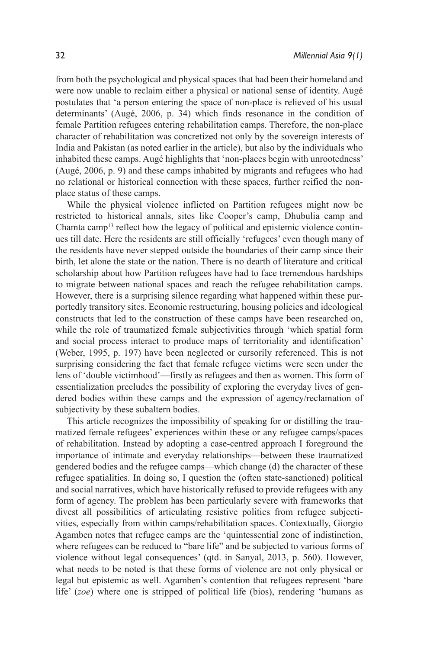from both the psychological and physical spaces that had been their homeland and were now unable to reclaim either a physical or national sense of identity. Augé postulates that 'a person entering the space of non-place is relieved of his usual determinants' (Augé, 2006, p. 34) which finds resonance in the condition of female Partition refugees entering rehabilitation camps. Therefore, the non-place character of rehabilitation was concretized not only by the sovereign interests of India and Pakistan (as noted earlier in the article), but also by the individuals who inhabited these camps. Augé highlights that 'non-places begin with unrootedness' (Augé, 2006, p. 9) and these camps inhabited by migrants and refugees who had no relational or historical connection with these spaces, further reified the nonplace status of these camps.

While the physical violence inflicted on Partition refugees might now be restricted to historical annals, sites like Cooper's camp, Dhubulia camp and Chamta camp<sup>13</sup> reflect how the legacy of political and epistemic violence continues till date. Here the residents are still officially 'refugees' even though many of the residents have never stepped outside the boundaries of their camp since their birth, let alone the state or the nation. There is no dearth of literature and critical scholarship about how Partition refugees have had to face tremendous hardships to migrate between national spaces and reach the refugee rehabilitation camps. However, there is a surprising silence regarding what happened within these purportedly transitory sites. Economic restructuring, housing policies and ideological constructs that led to the construction of these camps have been researched on, while the role of traumatized female subjectivities through 'which spatial form and social process interact to produce maps of territoriality and identification' (Weber, 1995, p. 197) have been neglected or cursorily referenced. This is not surprising considering the fact that female refugee victims were seen under the lens of 'double victimhood'—firstly as refugees and then as women. This form of essentialization precludes the possibility of exploring the everyday lives of gendered bodies within these camps and the expression of agency/reclamation of subjectivity by these subaltern bodies.

This article recognizes the impossibility of speaking for or distilling the traumatized female refugees' experiences within these or any refugee camps/spaces of rehabilitation. Instead by adopting a case-centred approach I foreground the importance of intimate and everyday relationships—between these traumatized gendered bodies and the refugee camps—which change (d) the character of these refugee spatialities. In doing so, I question the (often state-sanctioned) political and social narratives, which have historically refused to provide refugees with any form of agency. The problem has been particularly severe with frameworks that divest all possibilities of articulating resistive politics from refugee subjectivities, especially from within camps/rehabilitation spaces. Contextually, Giorgio Agamben notes that refugee camps are the 'quintessential zone of indistinction, where refugees can be reduced to "bare life" and be subjected to various forms of violence without legal consequences' (qtd. in Sanyal, 2013, p. 560). However, what needs to be noted is that these forms of violence are not only physical or legal but epistemic as well. Agamben's contention that refugees represent 'bare life' (*zoe*) where one is stripped of political life (bios), rendering 'humans as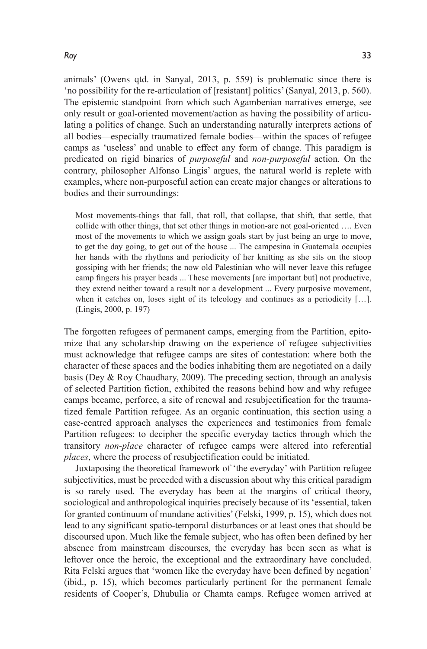animals' (Owens qtd. in Sanyal, 2013, p. 559) is problematic since there is 'no possibility for the re-articulation of [resistant] politics' (Sanyal, 2013, p. 560). The epistemic standpoint from which such Agambenian narratives emerge, see only result or goal-oriented movement/action as having the possibility of articulating a politics of change. Such an understanding naturally interprets actions of all bodies—especially traumatized female bodies—within the spaces of refugee camps as 'useless' and unable to effect any form of change. This paradigm is predicated on rigid binaries of *purposeful* and *non-purposeful* action. On the contrary, philosopher Alfonso Lingis' argues, the natural world is replete with examples, where non-purposeful action can create major changes or alterations to bodies and their surroundings:

Most movements-things that fall, that roll, that collapse, that shift, that settle, that collide with other things, that set other things in motion-are not goal-oriented …. Even most of the movements to which we assign goals start by just being an urge to move, to get the day going, to get out of the house ... The campesina in Guatemala occupies her hands with the rhythms and periodicity of her knitting as she sits on the stoop gossiping with her friends; the now old Palestinian who will never leave this refugee camp fingers his prayer beads ... These movements [are important but] not productive, they extend neither toward a result nor a development ... Every purposive movement, when it catches on, loses sight of its teleology and continues as a periodicity [...]. (Lingis, 2000, p. 197)

The forgotten refugees of permanent camps, emerging from the Partition, epitomize that any scholarship drawing on the experience of refugee subjectivities must acknowledge that refugee camps are sites of contestation: where both the character of these spaces and the bodies inhabiting them are negotiated on a daily basis (Dey & Roy Chaudhary, 2009). The preceding section, through an analysis of selected Partition fiction, exhibited the reasons behind how and why refugee camps became, perforce, a site of renewal and resubjectification for the traumatized female Partition refugee. As an organic continuation, this section using a case-centred approach analyses the experiences and testimonies from female Partition refugees: to decipher the specific everyday tactics through which the transitory *non-place* character of refugee camps were altered into referential *places*, where the process of resubjectification could be initiated.

Juxtaposing the theoretical framework of 'the everyday' with Partition refugee subjectivities, must be preceded with a discussion about why this critical paradigm is so rarely used. The everyday has been at the margins of critical theory, sociological and anthropological inquiries precisely because of its 'essential, taken for granted continuum of mundane activities' (Felski, 1999, p. 15), which does not lead to any significant spatio-temporal disturbances or at least ones that should be discoursed upon. Much like the female subject, who has often been defined by her absence from mainstream discourses, the everyday has been seen as what is leftover once the heroic, the exceptional and the extraordinary have concluded. Rita Felski argues that 'women like the everyday have been defined by negation' (ibid., p. 15), which becomes particularly pertinent for the permanent female residents of Cooper's, Dhubulia or Chamta camps. Refugee women arrived at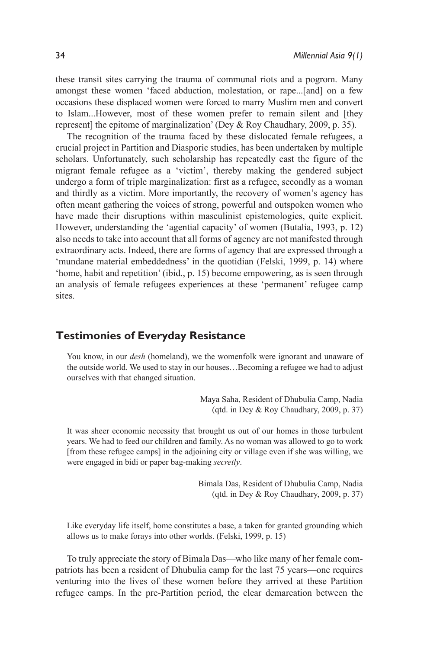these transit sites carrying the trauma of communal riots and a pogrom. Many amongst these women 'faced abduction, molestation, or rape...[and] on a few occasions these displaced women were forced to marry Muslim men and convert to Islam...However, most of these women prefer to remain silent and [they represent] the epitome of marginalization' (Dey & Roy Chaudhary, 2009, p. 35).

The recognition of the trauma faced by these dislocated female refugees, a crucial project in Partition and Diasporic studies, has been undertaken by multiple scholars. Unfortunately, such scholarship has repeatedly cast the figure of the migrant female refugee as a 'victim', thereby making the gendered subject undergo a form of triple marginalization: first as a refugee, secondly as a woman and thirdly as a victim. More importantly, the recovery of women's agency has often meant gathering the voices of strong, powerful and outspoken women who have made their disruptions within masculinist epistemologies, quite explicit. However, understanding the 'agential capacity' of women (Butalia, 1993, p. 12) also needs to take into account that all forms of agency are not manifested through extraordinary acts. Indeed, there are forms of agency that are expressed through a 'mundane material embeddedness' in the quotidian (Felski, 1999, p. 14) where 'home, habit and repetition' (ibid., p. 15) become empowering, as is seen through an analysis of female refugees experiences at these 'permanent' refugee camp sites.

## **Testimonies of Everyday Resistance**

You know, in our *desh* (homeland), we the womenfolk were ignorant and unaware of the outside world. We used to stay in our houses…Becoming a refugee we had to adjust ourselves with that changed situation.

> Maya Saha, Resident of Dhubulia Camp, Nadia (qtd. in Dey & Roy Chaudhary, 2009, p. 37)

It was sheer economic necessity that brought us out of our homes in those turbulent years. We had to feed our children and family. As no woman was allowed to go to work [from these refugee camps] in the adjoining city or village even if she was willing, we were engaged in bidi or paper bag*-*making *secretly*.

> Bimala Das, Resident of Dhubulia Camp, Nadia (qtd. in Dey & Roy Chaudhary, 2009, p. 37)

Like everyday life itself, home constitutes a base, a taken for granted grounding which allows us to make forays into other worlds. (Felski, 1999, p. 15)

To truly appreciate the story of Bimala Das—who like many of her female compatriots has been a resident of Dhubulia camp for the last 75 years—one requires venturing into the lives of these women before they arrived at these Partition refugee camps. In the pre-Partition period, the clear demarcation between the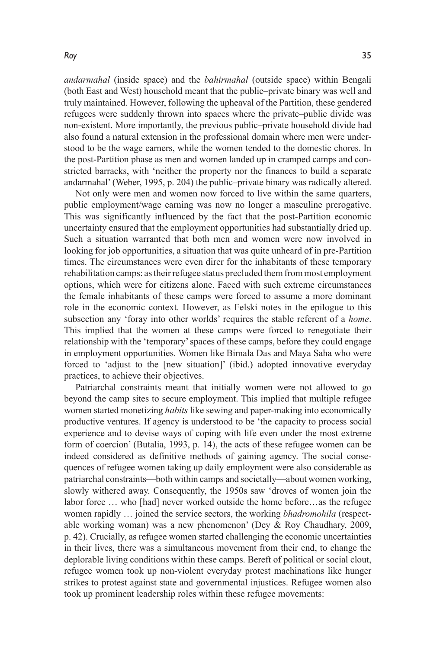*andarmahal* (inside space) and the *bahirmahal* (outside space) within Bengali (both East and West) household meant that the public–private binary was well and truly maintained. However, following the upheaval of the Partition, these gendered refugees were suddenly thrown into spaces where the private–public divide was non-existent. More importantly, the previous public–private household divide had also found a natural extension in the professional domain where men were understood to be the wage earners, while the women tended to the domestic chores. In the post-Partition phase as men and women landed up in cramped camps and constricted barracks, with 'neither the property nor the finances to build a separate andarmahal' (Weber, 1995, p. 204) the public–private binary was radically altered.

Not only were men and women now forced to live within the same quarters, public employment/wage earning was now no longer a masculine prerogative. This was significantly influenced by the fact that the post-Partition economic uncertainty ensured that the employment opportunities had substantially dried up. Such a situation warranted that both men and women were now involved in looking for job opportunities, a situation that was quite unheard of in pre-Partition times. The circumstances were even direr for the inhabitants of these temporary rehabilitation camps: as their refugee status precluded them from most employment options, which were for citizens alone. Faced with such extreme circumstances the female inhabitants of these camps were forced to assume a more dominant role in the economic context. However, as Felski notes in the epilogue to this subsection any 'foray into other worlds' requires the stable referent of a *home*. This implied that the women at these camps were forced to renegotiate their relationship with the 'temporary' spaces of these camps, before they could engage in employment opportunities. Women like Bimala Das and Maya Saha who were forced to 'adjust to the [new situation]' (ibid.) adopted innovative everyday practices, to achieve their objectives.

Patriarchal constraints meant that initially women were not allowed to go beyond the camp sites to secure employment. This implied that multiple refugee women started monetizing *habits* like sewing and paper-making into economically productive ventures. If agency is understood to be 'the capacity to process social experience and to devise ways of coping with life even under the most extreme form of coercion' (Butalia, 1993, p. 14), the acts of these refugee women can be indeed considered as definitive methods of gaining agency. The social consequences of refugee women taking up daily employment were also considerable as patriarchal constraints—both within camps and societally—about women working, slowly withered away. Consequently, the 1950s saw 'droves of women join the labor force … who [had] never worked outside the home before…as the refugee women rapidly … joined the service sectors, the working *bhadromohila* (respectable working woman) was a new phenomenon' (Dey & Roy Chaudhary, 2009, p. 42). Crucially, as refugee women started challenging the economic uncertainties in their lives, there was a simultaneous movement from their end, to change the deplorable living conditions within these camps. Bereft of political or social clout, refugee women took up non-violent everyday protest machinations like hunger strikes to protest against state and governmental injustices. Refugee women also took up prominent leadership roles within these refugee movements: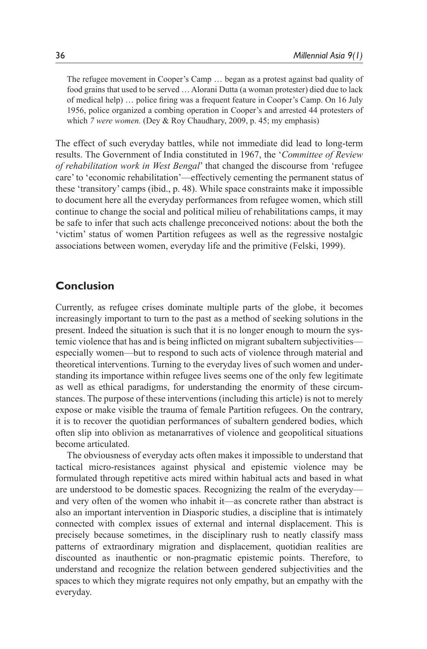The refugee movement in Cooper's Camp … began as a protest against bad quality of food grains that used to be served … Alorani Dutta (a woman protester) died due to lack of medical help) … police firing was a frequent feature in Cooper's Camp. On 16 July 1956, police organized a combing operation in Cooper's and arrested 44 protesters of which *7 were women.* (Dey & Roy Chaudhary, 2009, p. 45; my emphasis)

The effect of such everyday battles, while not immediate did lead to long-term results. The Government of India constituted in 1967, the '*Committee of Review of rehabilitation work in West Bengal*' that changed the discourse from 'refugee care' to 'economic rehabilitation'—effectively cementing the permanent status of these 'transitory' camps (ibid., p. 48). While space constraints make it impossible to document here all the everyday performances from refugee women, which still continue to change the social and political milieu of rehabilitations camps, it may be safe to infer that such acts challenge preconceived notions: about the both the 'victim' status of women Partition refugees as well as the regressive nostalgic associations between women, everyday life and the primitive (Felski, 1999).

# **Conclusion**

Currently, as refugee crises dominate multiple parts of the globe, it becomes increasingly important to turn to the past as a method of seeking solutions in the present. Indeed the situation is such that it is no longer enough to mourn the systemic violence that has and is being inflicted on migrant subaltern subjectivities especially women—but to respond to such acts of violence through material and theoretical interventions. Turning to the everyday lives of such women and understanding its importance within refugee lives seems one of the only few legitimate as well as ethical paradigms, for understanding the enormity of these circumstances. The purpose of these interventions (including this article) is not to merely expose or make visible the trauma of female Partition refugees. On the contrary, it is to recover the quotidian performances of subaltern gendered bodies, which often slip into oblivion as metanarratives of violence and geopolitical situations become articulated.

The obviousness of everyday acts often makes it impossible to understand that tactical micro-resistances against physical and epistemic violence may be formulated through repetitive acts mired within habitual acts and based in what are understood to be domestic spaces. Recognizing the realm of the everyday and very often of the women who inhabit it—as concrete rather than abstract is also an important intervention in Diasporic studies, a discipline that is intimately connected with complex issues of external and internal displacement. This is precisely because sometimes, in the disciplinary rush to neatly classify mass patterns of extraordinary migration and displacement, quotidian realities are discounted as inauthentic or non-pragmatic epistemic points. Therefore, to understand and recognize the relation between gendered subjectivities and the spaces to which they migrate requires not only empathy, but an empathy with the everyday.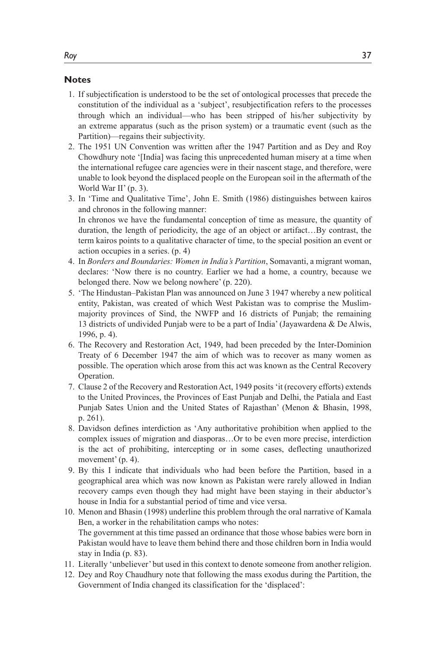## **Notes**

- 1. If subjectification is understood to be the set of ontological processes that precede the constitution of the individual as a 'subject', resubjectification refers to the processes through which an individual—who has been stripped of his/her subjectivity by an extreme apparatus (such as the prison system) or a traumatic event (such as the Partition)—regains their subjectivity.
- 2. The 1951 UN Convention was written after the 1947 Partition and as Dey and Roy Chowdhury note '[India] was facing this unprecedented human misery at a time when the international refugee care agencies were in their nascent stage, and therefore, were unable to look beyond the displaced people on the European soil in the aftermath of the World War II' (p. 3).
- 3. In 'Time and Qualitative Time', John E. Smith (1986) distinguishes between kairos and chronos in the following manner: In chronos we have the fundamental conception of time as measure, the quantity of duration, the length of periodicity, the age of an object or artifact…By contrast, the term kairos points to a qualitative character of time, to the special position an event or action occupies in a series. (p. 4)
- 4. In *Borders and Boundaries: Women in India's Partition*, Somavanti, a migrant woman, declares: 'Now there is no country. Earlier we had a home, a country, because we belonged there. Now we belong nowhere' (p. 220).
- 5. 'The Hindustan–Pakistan Plan was announced on June 3 1947 whereby a new political entity, Pakistan, was created of which West Pakistan was to comprise the Muslimmajority provinces of Sind, the NWFP and 16 districts of Punjab; the remaining 13 districts of undivided Punjab were to be a part of India' (Jayawardena & De Alwis, 1996, p. 4).
- 6. The Recovery and Restoration Act, 1949, had been preceded by the Inter-Dominion Treaty of 6 December 1947 the aim of which was to recover as many women as possible. The operation which arose from this act was known as the Central Recovery Operation.
- 7. Clause 2 of the Recovery and Restoration Act, 1949 posits 'it (recovery efforts) extends to the United Provinces, the Provinces of East Punjab and Delhi, the Patiala and East Punjab Sates Union and the United States of Rajasthan' (Menon & Bhasin, 1998, p. 261).
- 8. Davidson defines interdiction as 'Any authoritative prohibition when applied to the complex issues of migration and diasporas…Or to be even more precise, interdiction is the act of prohibiting, intercepting or in some cases, deflecting unauthorized movement' (p. 4).
- 9. By this I indicate that individuals who had been before the Partition, based in a geographical area which was now known as Pakistan were rarely allowed in Indian recovery camps even though they had might have been staying in their abductor's house in India for a substantial period of time and vice versa.
- 10. Menon and Bhasin (1998) underline this problem through the oral narrative of Kamala Ben, a worker in the rehabilitation camps who notes: The government at this time passed an ordinance that those whose babies were born in Pakistan would have to leave them behind there and those children born in India would stay in India (p. 83).
- 11. Literally 'unbeliever' but used in this context to denote someone from another religion.
- 12. Dey and Roy Chaudhury note that following the mass exodus during the Partition, the Government of India changed its classification for the 'displaced':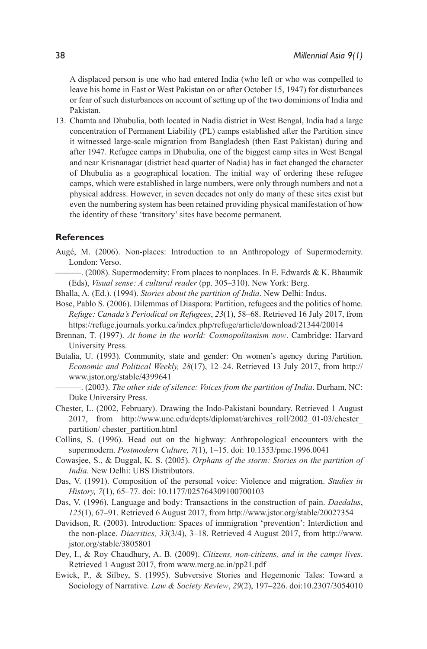A displaced person is one who had entered India (who left or who was compelled to leave his home in East or West Pakistan on or after October 15, 1947) for disturbances or fear of such disturbances on account of setting up of the two dominions of India and Pakistan.

13. Chamta and Dhubulia, both located in Nadia district in West Bengal, India had a large concentration of Permanent Liability (PL) camps established after the Partition since it witnessed large-scale migration from Bangladesh (then East Pakistan) during and after 1947. Refugee camps in Dhubulia, one of the biggest camp sites in West Bengal and near Krisnanagar (district head quarter of Nadia) has in fact changed the character of Dhubulia as a geographical location. The initial way of ordering these refugee camps, which were established in large numbers, were only through numbers and not a physical address. However, in seven decades not only do many of these sites exist but even the numbering system has been retained providing physical manifestation of how the identity of these 'transitory' sites have become permanent.

### **References**

- Augé, M. (2006). Non-places: Introduction to an Anthropology of Supermodernity. London: Verso.
- $-$ . (2008). Supermodernity: From places to nonplaces. In E. Edwards & K. Bhaumik (Eds), *Visual sense: A cultural reader* (pp. 305–310). New York: Berg.
- Bhalla, A. (Ed.). (1994). *Stories about the partition of India*. New Delhi: Indus.
- Bose, Pablo S. (2006). Dilemmas of Diaspora: Partition, refugees and the politics of home. *Refuge: Canada's Periodical on Refugees*, *23*(1), 58–68. Retrieved 16 July 2017, from https://refuge.journals.yorku.ca/index.php/refuge/article/download/21344/20014
- Brennan, T. (1997). *At home in the world: Cosmopolitanism now*. Cambridge: Harvard University Press.
- Butalia, U. (1993). Community, state and gender: On women's agency during Partition. *Economic and Political Weekly, 28*(17), 12–24. Retrieved 13 July 2017, from http:// www.jstor.org/stable/4399641
	- ———. (2003). *The other side of silence: Voices from the partition of India*. Durham, NC: Duke University Press.
- Chester, L. (2002, February). Drawing the Indo-Pakistani boundary. Retrieved 1 August 2017, from http://www.unc.edu/depts/diplomat/archives\_roll/2002\_01-03/chester\_ partition/ chester\_partition.html
- Collins, S. (1996). Head out on the highway: Anthropological encounters with the supermodern. *Postmodern Culture, 7*(1), 1–15. doi: 10.1353/pmc.1996.0041
- Cowasjee, S., & Duggal, K. S. (2005). *Orphans of the storm: Stories on the partition of India*. New Delhi: UBS Distributors.
- Das, V. (1991). Composition of the personal voice: Violence and migration. *Studies in History, 7*(1), 65–77. doi: 10.1177/025764309100700103
- Das, V. (1996). Language and body: Transactions in the construction of pain. *Daedalus*, *125*(1), 67–91. Retrieved 6 August 2017, from http://www.jstor.org/stable/20027354
- Davidson, R. (2003). Introduction: Spaces of immigration 'prevention': Interdiction and the non-place. *Diacritics, 33*(3/4), 3–18. Retrieved 4 August 2017, from http://www. jstor.org/stable/3805801
- Dey, I., & Roy Chaudhury, A. B. (2009). *Citizens, non-citizens, and in the camps lives*. Retrieved 1 August 2017, from www.mcrg.ac.in/pp21.pdf
- Ewick, P., & Silbey, S. (1995). Subversive Stories and Hegemonic Tales: Toward a Sociology of Narrative. *Law & Society Review*, *29*(2), 197–226. doi:10.2307/3054010